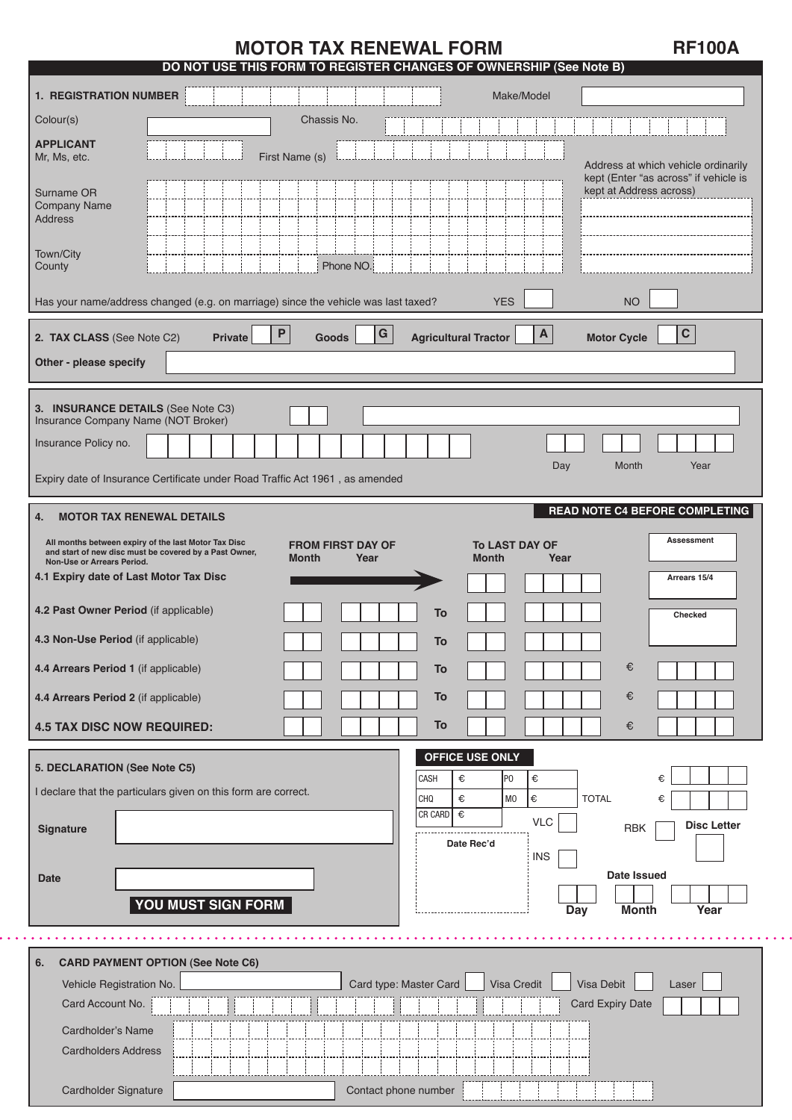# **MOTOR TAX RENEWAL FORM RE100A**

|                                                                                                                                                                                                                                                                          | DO NOT USE THIS FORM TO REGISTER CHANGES OF OWNERSHIP (See Note B)                                                                                                                      |
|--------------------------------------------------------------------------------------------------------------------------------------------------------------------------------------------------------------------------------------------------------------------------|-----------------------------------------------------------------------------------------------------------------------------------------------------------------------------------------|
| <b>1. REGISTRATION NUMBER</b>                                                                                                                                                                                                                                            | Make/Model                                                                                                                                                                              |
| Colour(s)                                                                                                                                                                                                                                                                | Chassis No.                                                                                                                                                                             |
| <b>APPLICANT</b><br>Mr, Ms, etc.                                                                                                                                                                                                                                         | First Name (s)<br>Address at which vehicle ordinarily                                                                                                                                   |
| Surname OR<br>Company Name<br><b>Address</b>                                                                                                                                                                                                                             | kept (Enter "as across" if vehicle is<br>kept at Address across)                                                                                                                        |
| Town/City<br>County                                                                                                                                                                                                                                                      | Phone NO.                                                                                                                                                                               |
|                                                                                                                                                                                                                                                                          | Has your name/address changed (e.g. on marriage) since the vehicle was last taxed?<br><b>YES</b><br><b>NO</b>                                                                           |
| 2. TAX CLASS (See Note C2)<br>Other - please specify                                                                                                                                                                                                                     | ${\bf G}$<br>$\mathbf C$<br>$\boldsymbol{\mathsf{P}}$<br>$\mathbf{A}$<br><b>Agricultural Tractor</b><br><b>Motor Cycle</b><br><b>Private</b><br><b>Goods</b>                            |
| Insurance Company Name (NOT Broker)                                                                                                                                                                                                                                      | 3. INSURANCE DETAILS (See Note C3)                                                                                                                                                      |
| Insurance Policy no.                                                                                                                                                                                                                                                     | Day<br>Month<br>Year                                                                                                                                                                    |
|                                                                                                                                                                                                                                                                          | Expiry date of Insurance Certificate under Road Traffic Act 1961, as amended                                                                                                            |
| Non-Use or Arrears Period.<br>4.1 Expiry date of Last Motor Tax Disc<br>4.2 Past Owner Period (if applicable)<br>4.3 Non-Use Period (if applicable)<br>4.4 Arrears Period 1 (if applicable)<br>4.4 Arrears Period 2 (if applicable)<br><b>4.5 TAX DISC NOW REQUIRED:</b> | <b>Month</b><br>Year<br><b>Month</b><br>Year<br>Arrears 15/4<br>To<br>Checked<br>To<br>€<br>To<br>€<br>To<br>To<br>€                                                                    |
| 5. DECLARATION (See Note C5)                                                                                                                                                                                                                                             | <b>OFFICE USE ONLY</b>                                                                                                                                                                  |
|                                                                                                                                                                                                                                                                          | €<br>CASH<br>€<br>P <sub>0</sub><br>€<br>I declare that the particulars given on this form are correct.<br>l€<br>€<br>M <sub>0</sub><br><b>TOTAL</b><br><b>CHQ</b><br>€<br>€<br>CR CARD |
| Signature                                                                                                                                                                                                                                                                | <b>VLC</b><br><b>Disc Letter</b><br><b>RBK</b><br>Date Rec'd<br><b>INS</b><br><b>Date Issued</b>                                                                                        |
| <b>Date</b>                                                                                                                                                                                                                                                              | YOU MUST SIGN FORM<br><b>Month</b><br>Year<br><b>Day</b>                                                                                                                                |
| 6.                                                                                                                                                                                                                                                                       |                                                                                                                                                                                         |
| Vehicle Registration No.<br>Card Account No.                                                                                                                                                                                                                             | <b>CARD PAYMENT OPTION (See Note C6)</b><br>Visa Debit<br>Card type: Master Card<br>Visa Credit<br>Laser<br><b>Card Expiry Date</b>                                                     |
| Cardholder's Name                                                                                                                                                                                                                                                        |                                                                                                                                                                                         |
| <b>Cardholders Address</b>                                                                                                                                                                                                                                               |                                                                                                                                                                                         |
|                                                                                                                                                                                                                                                                          | Cardholder Signature<br>Contact phone number                                                                                                                                            |